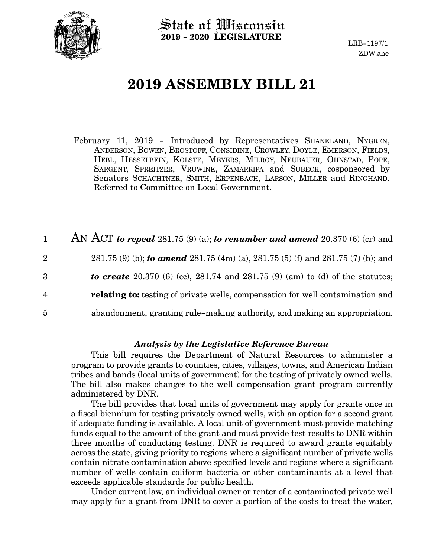

State of Wisconsin **2019 - 2020 LEGISLATURE**

LRB-1197/1 ZDW:ahe

# **2019 ASSEMBLY BILL 21**

February 11, 2019 - Introduced by Representatives SHANKLAND, NYGREN, ANDERSON, BOWEN, BROSTOFF, CONSIDINE, CROWLEY, DOYLE, EMERSON, FIELDS, HEBL, HESSELBEIN, KOLSTE, MEYERS, MILROY, NEUBAUER, OHNSTAD, POPE, SARGENT, SPREITZER, VRUWINK, ZAMARRIPA and SUBECK, cosponsored by Senators SCHACHTNER, SMITH, ERPENBACH, LARSON, MILLER and RINGHAND. Referred to Committee on Local Government.

AN ACT *to repeal* 281.75 (9) (a); *to renumber and amend* 20.370 (6) (cr) and 281.75 (9) (b); *to amend* 281.75 (4m) (a), 281.75 (5) (f) and 281.75 (7) (b); and *to create* 20.370 (6) (cc), 281.74 and 281.75 (9) (am) to (d) of the statutes; **relating to:** testing of private wells, compensation for well contamination and abandonment, granting rule-making authority, and making an appropriation. 1 2 3 4 5

### *Analysis by the Legislative Reference Bureau*

This bill requires the Department of Natural Resources to administer a program to provide grants to counties, cities, villages, towns, and American Indian tribes and bands (local units of government) for the testing of privately owned wells. The bill also makes changes to the well compensation grant program currently administered by DNR.

The bill provides that local units of government may apply for grants once in a fiscal biennium for testing privately owned wells, with an option for a second grant if adequate funding is available. A local unit of government must provide matching funds equal to the amount of the grant and must provide test results to DNR within three months of conducting testing. DNR is required to award grants equitably across the state, giving priority to regions where a significant number of private wells contain nitrate contamination above specified levels and regions where a significant number of wells contain coliform bacteria or other contaminants at a level that exceeds applicable standards for public health.

Under current law, an individual owner or renter of a contaminated private well may apply for a grant from DNR to cover a portion of the costs to treat the water,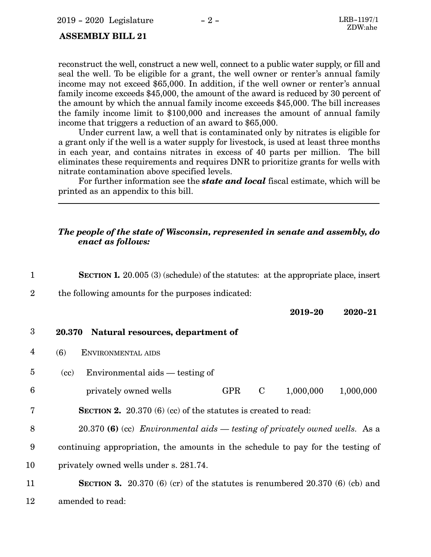#### <span id="page-1-0"></span> **ASSEMBLY BILL 21**

reconstruct the well, construct a new well, connect to a public water supply, or fill and seal the well. To be eligible for a grant, the well owner or renter's annual family income may not exceed \$65,000. In addition, if the well owner or renter's annual family income exceeds \$45,000, the amount of the award is reduced by 30 percent of the amount by which the annual family income exceeds \$45,000. The bill increases the family income limit to \$100,000 and increases the amount of annual family income that triggers a reduction of an award to \$65,000.

Under current law, a well that is contaminated only by nitrates is eligible for a grant only if the well is a water supply for livestock, is used at least three months in each year, and contains nitrates in excess of 40 parts per million. The bill eliminates these requirements and requires DNR to prioritize grants for wells with nitrate contamination above specified levels.

For further information see the *state and local* fiscal estimate, which will be printed as an appendix to this bill.

### *The people of the state of Wisconsin, represented in senate and assembly, do enact as follows:*

**SECTION 1.** 20.005 (3) (schedule) of the statutes: at the appropriate place, insert the following amounts for the purposes indicated: **2019-20 2020-21 20.370 Natural resources, department of** (6) ENVIRONMENTAL AIDS (cc) Environmental aids — testing of privately owned wells GPR C 1,000,000 1,000,000 **SECTION 2.** 20.370 (6) (cc) of the statutes is created to read: 20.370 **(6)** (cc) *Environmental aids — testing of privately owned wells.* As a continuing appropriation, the amounts in the schedule to pay for the testing of privately owned wells under s. 281.74. **SECTION 3.** 20.370 (6) (cr) of the statutes is renumbered 20.370 (6) (cb) and 1 2 3 4 5 6 7 8 9 10 11

amended to read: 12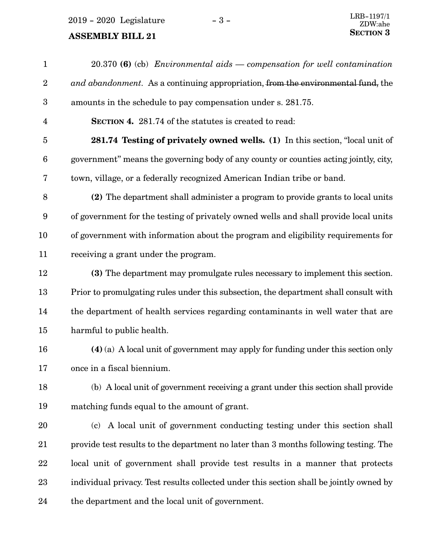## **ASSEMBLY BILL 21**

| $\mathbf{1}$     | 20.370 (6) (cb) Environmental aids — compensation for well contamination                |
|------------------|-----------------------------------------------------------------------------------------|
| $\boldsymbol{2}$ | and abandonment. As a continuing appropriation, from the environmental fund, the        |
| $\boldsymbol{3}$ | amounts in the schedule to pay compensation under s. 281.75.                            |
| $\overline{4}$   | <b>SECTION 4.</b> 281.74 of the statutes is created to read:                            |
| $\overline{5}$   | 281.74 Testing of privately owned wells. (1) In this section, "local unit of            |
| $6\phantom{.}6$  | government" means the governing body of any county or counties acting jointly, city,    |
| 7                | town, village, or a federally recognized American Indian tribe or band.                 |
| 8                | (2) The department shall administer a program to provide grants to local units          |
| $\boldsymbol{9}$ | of government for the testing of privately owned wells and shall provide local units    |
| 10               | of government with information about the program and eligibility requirements for       |
| 11               | receiving a grant under the program.                                                    |
| 12               | (3) The department may promulgate rules necessary to implement this section.            |
| 13               | Prior to promulgating rules under this subsection, the department shall consult with    |
| 14               | the department of health services regarding contaminants in well water that are         |
| 15               | harmful to public health.                                                               |
| 16               | $(4)$ (a) A local unit of government may apply for funding under this section only      |
| 17               | once in a fiscal biennium.                                                              |
| 18               | (b) A local unit of government receiving a grant under this section shall provide       |
| 19               | matching funds equal to the amount of grant.                                            |
| 20               | A local unit of government conducting testing under this section shall<br>(c)           |
| 21               | provide test results to the department no later than 3 months following testing. The    |
| 22               | local unit of government shall provide test results in a manner that protects           |
| 23               | individual privacy. Test results collected under this section shall be jointly owned by |
| 24               | the department and the local unit of government.                                        |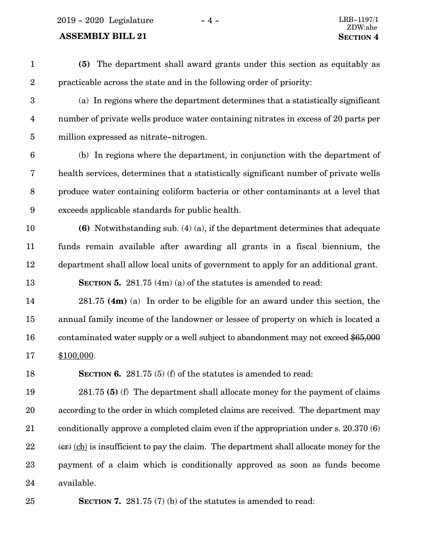2019 - 2020 Legislature - 4 - LRB-1197/1

### **ASSEMBLY BILL 21 SECTION** 4

**(5)** The department shall award grants under this section as equitably as practicable across the state and in the following order of priority: (a) In regions where the department determines that a statistically significant number of private wells produce water containing nitrates in excess of 20 parts per million expressed as nitrate-nitrogen. (b) In regions where the department, in conjunction with the department of health services, determines that a statistically significant number of private wells produce water containing coliform bacteria or other contaminants at a level that exceeds applicable standards for public health. **(6)** Notwithstanding sub. (4) (a), if the department determines that adequate funds remain available after awarding all grants in a fiscal biennium, the department shall allow local units of government to apply for an additional grant. **SECTION 5.** 281.75 (4m) (a) of the statutes is amended to read: 281.75 **(4m)** (a) In order to be eligible for an award under this section, the annual family income of the landowner or lessee of property on which is located a contaminated water supply or a well subject to abandonment may not exceed \$65,000 \$100,000. **SECTION 6.** 281.75 (5) (f) of the statutes is amended to read: 281.75 **(5)** (f) The department shall allocate money for the payment of claims according to the order in which completed claims are received. The department may conditionally approve a completed claim even if the appropriation under s. 20.370 (6)  $(\text{cr})$  (cb) is insufficient to pay the claim. The department shall allocate money for the payment of a claim which is conditionally approved as soon as funds become 1 2 3 4 5 6 7 8 9 10 11 12 13 14 15 16 17 18 19 20 21 22 23

available. 24

**SECTION 7.** 281.75 (7) (b) of the statutes is amended to read: 25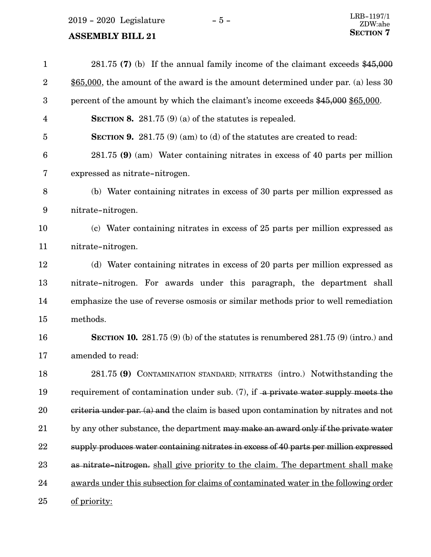2019 - 2020 Legislature - 5 -

## **ASSEMBLY BILL 21**

| $\mathbf{1}$    | 281.75 (7) (b) If the annual family income of the claimant exceeds $$45,000$              |
|-----------------|-------------------------------------------------------------------------------------------|
| $\overline{2}$  | $$65,000$ , the amount of the award is the amount determined under par. (a) less 30       |
| 3               | percent of the amount by which the claimant's income exceeds \$45,000 \$65,000.           |
| 4               | SECTION 8. 281.75 $(9)$ (a) of the statutes is repealed.                                  |
| 5               | <b>SECTION 9.</b> 281.75 (9) (am) to (d) of the statutes are created to read:             |
| $6\phantom{1}6$ | $281.75$ (9) (am) Water containing nitrates in excess of 40 parts per million             |
| 7               | expressed as nitrate-nitrogen.                                                            |
| 8               | (b) Water containing nitrates in excess of 30 parts per million expressed as              |
| 9               | nitrate-nitrogen.                                                                         |
| 10              | (c) Water containing nitrates in excess of 25 parts per million expressed as              |
| 11              | nitrate-nitrogen.                                                                         |
| 12              | (d) Water containing nitrates in excess of 20 parts per million expressed as              |
| 13              | nitrate-nitrogen. For awards under this paragraph, the department shall                   |
| 14              | emphasize the use of reverse osmosis or similar methods prior to well remediation         |
| 15              | methods.                                                                                  |
| 16              | <b>SECTION 10.</b> 281.75 (9) (b) of the statutes is renumbered 281.75 (9) (intro.) and   |
| 17              | amended to read:                                                                          |
| 18              | 281.75 (9) CONTAMINATION STANDARD; NITRATES (intro.) Notwithstanding the                  |
| 19              | requirement of contamination under sub. $(7)$ , if a private water supply meets the       |
| 20              | $c$ eriteria under par. (a) and the claim is based upon contamination by nitrates and not |
| 21              | by any other substance, the department may make an award only if the private water        |
| 22              | supply produces water containing nitrates in excess of 40 parts per million expressed     |
| 23              | as nitrate-nitrogen. shall give priority to the claim. The department shall make          |
| 24              | awards under this subsection for claims of contaminated water in the following order      |
| 25              | of priority:                                                                              |